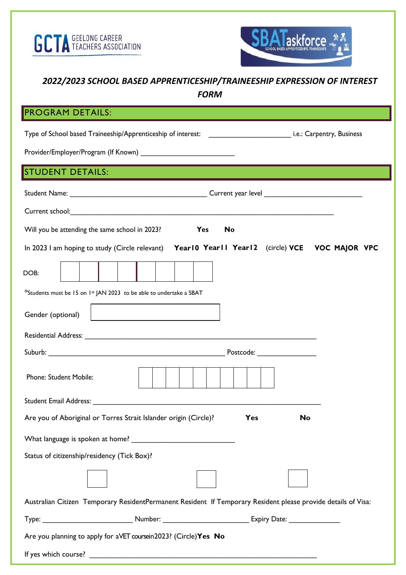



## *2022/2023 SCHOOL BASED APPRENTICESHIP/TRAINEESHIP EXPRESSION OF INTEREST*

*FORM* 

## PROGRAM DETAILS:

| <b>STUDENT DETAILS:</b>                                                                                                                                                                                                        |  |  |  |  |  |
|--------------------------------------------------------------------------------------------------------------------------------------------------------------------------------------------------------------------------------|--|--|--|--|--|
|                                                                                                                                                                                                                                |  |  |  |  |  |
| Current school: <u>Current school:</u>                                                                                                                                                                                         |  |  |  |  |  |
| Will you be attending the same school in 2023?<br>No<br>Yes                                                                                                                                                                    |  |  |  |  |  |
| In 2023 I am hoping to study (Circle relevant) Year10 Year11 Year12 (circle) VCE VOC MAJOR VPC                                                                                                                                 |  |  |  |  |  |
| DOB:                                                                                                                                                                                                                           |  |  |  |  |  |
| *Students must be 15 on 1st JAN 2023 to be able to undertake a SBAT                                                                                                                                                            |  |  |  |  |  |
| Gender (optional)                                                                                                                                                                                                              |  |  |  |  |  |
| Residential Address: The Communication of the Communication of the Communication of the Communication of the Communication of the Communication of the Communication of the Communication of the Communication of the Communic |  |  |  |  |  |
|                                                                                                                                                                                                                                |  |  |  |  |  |
| Phone: Student Mobile:                                                                                                                                                                                                         |  |  |  |  |  |
| Student Email Address: No. 1998. The Student Email: Address: No. 1999. The Student Email: No. 1999. The Student Email: No. 1999. The Student Email: No. 1999. The Student Email: No. 1999. The Student Email: No. 1999. The St |  |  |  |  |  |
| Are you of Aboriginal or Torres Strait Islander origin (Circle)?<br>Yes<br>No                                                                                                                                                  |  |  |  |  |  |
|                                                                                                                                                                                                                                |  |  |  |  |  |
| Status of citizenship/residency (Tick Box)?                                                                                                                                                                                    |  |  |  |  |  |
|                                                                                                                                                                                                                                |  |  |  |  |  |
| Australian Citizen Temporary ResidentPermanent Resident If Temporary Resident please provide details of Visa:                                                                                                                  |  |  |  |  |  |
|                                                                                                                                                                                                                                |  |  |  |  |  |
| Are you planning to apply for aVET coursein 2023? (Circle) Yes No                                                                                                                                                              |  |  |  |  |  |
|                                                                                                                                                                                                                                |  |  |  |  |  |